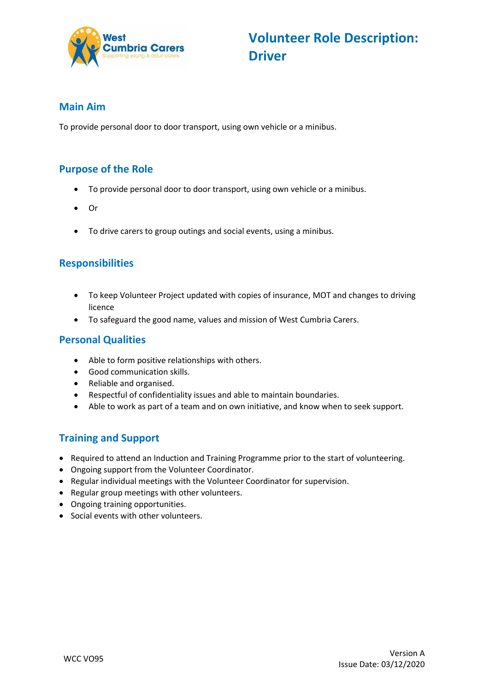

### **Main Aim**

To provide personal door to door transport, using own vehicle or a minibus.

# **Purpose of the Role**

- To provide personal door to door transport, using own vehicle or a minibus.
- Or
- To drive carers to group outings and social events, using a minibus.

# **Responsibilities**

- To keep Volunteer Project updated with copies of insurance, MOT and changes to driving licence
- To safeguard the good name, values and mission of West Cumbria Carers.

### **Personal Qualities**

- Able to form positive relationships with others.
- Good communication skills.
- Reliable and organised.
- Respectful of confidentiality issues and able to maintain boundaries.
- Able to work as part of a team and on own initiative, and know when to seek support.

# **Training and Support**

- Required to attend an Induction and Training Programme prior to the start of volunteering.
- Ongoing support from the Volunteer Coordinator.
- Regular individual meetings with the Volunteer Coordinator for supervision.
- Regular group meetings with other volunteers.
- Ongoing training opportunities.
- Social events with other volunteers.